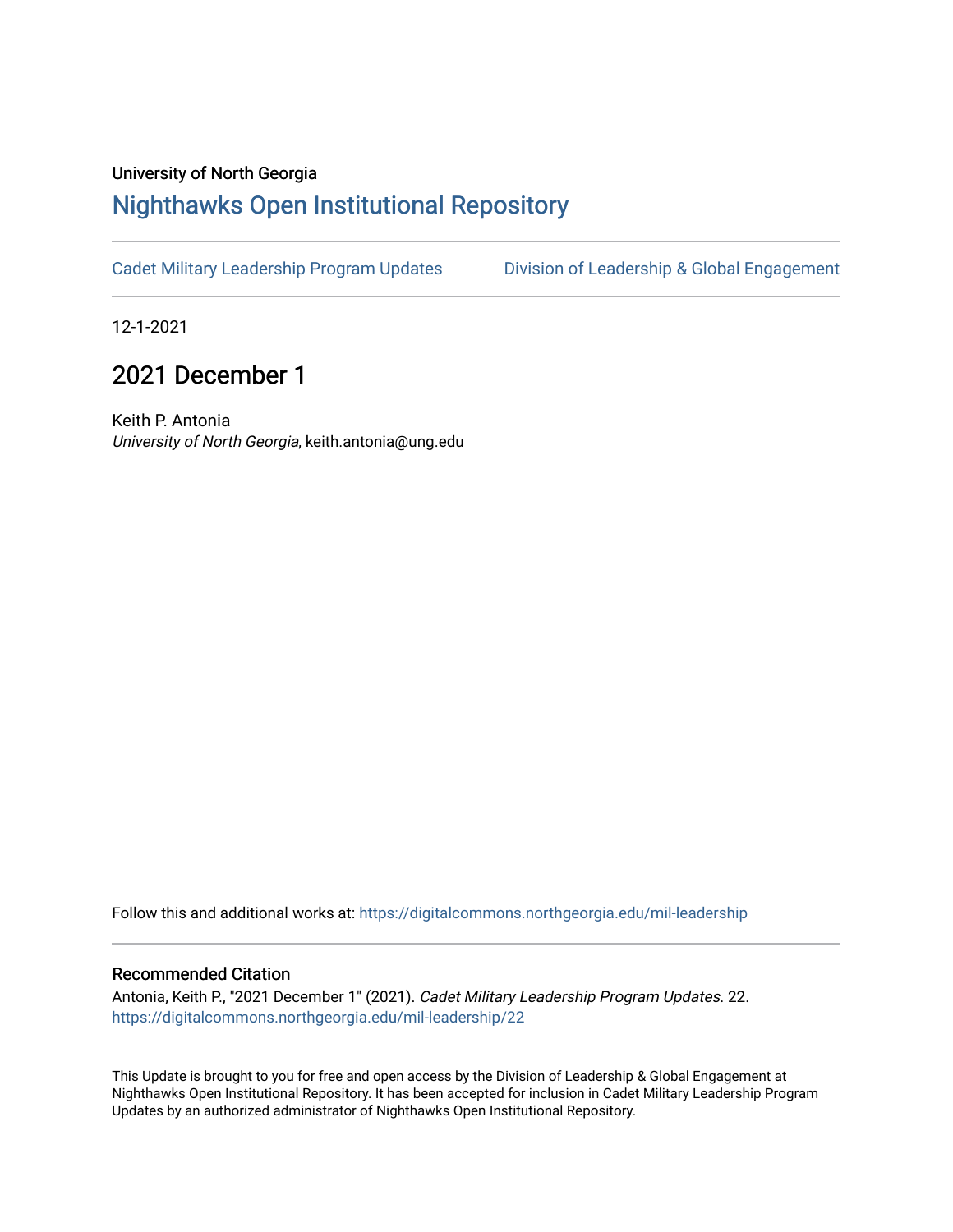#### University of North Georgia

## [Nighthawks Open Institutional Repository](https://digitalcommons.northgeorgia.edu/)

[Cadet Military Leadership Program Updates](https://digitalcommons.northgeorgia.edu/mil-leadership) [Division of Leadership & Global Engagement](https://digitalcommons.northgeorgia.edu/leadership) 

12-1-2021

## 2021 December 1

Keith P. Antonia University of North Georgia, keith.antonia@ung.edu

Follow this and additional works at: [https://digitalcommons.northgeorgia.edu/mil-leadership](https://digitalcommons.northgeorgia.edu/mil-leadership?utm_source=digitalcommons.northgeorgia.edu%2Fmil-leadership%2F22&utm_medium=PDF&utm_campaign=PDFCoverPages) 

#### Recommended Citation

Antonia, Keith P., "2021 December 1" (2021). Cadet Military Leadership Program Updates. 22. [https://digitalcommons.northgeorgia.edu/mil-leadership/22](https://digitalcommons.northgeorgia.edu/mil-leadership/22?utm_source=digitalcommons.northgeorgia.edu%2Fmil-leadership%2F22&utm_medium=PDF&utm_campaign=PDFCoverPages)

This Update is brought to you for free and open access by the Division of Leadership & Global Engagement at Nighthawks Open Institutional Repository. It has been accepted for inclusion in Cadet Military Leadership Program Updates by an authorized administrator of Nighthawks Open Institutional Repository.